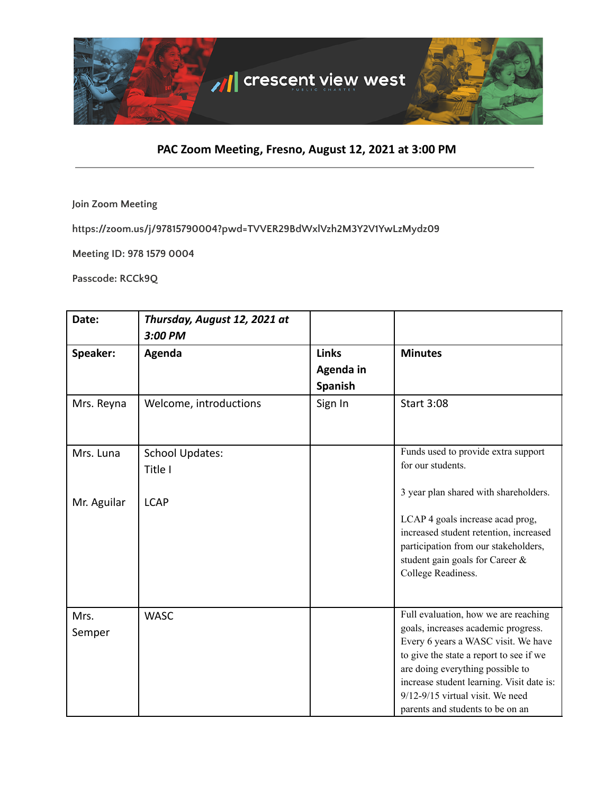

## **PAC Zoom Meeting, Fresno, August 12, 2021 at 3:00 PM**

**Join Zoom Meeting**

**https://zoom.us/j/97815790004?pwd=TVVER29BdWxlVzh2M3Y2V1YwLzMydz09**

**Meeting ID: 978 1579 0004**

**Passcode: RCCk9Q**

| Date:          | Thursday, August 12, 2021 at<br>3:00 PM |                                      |                                                                                                                                                                                                                                                                                                                            |
|----------------|-----------------------------------------|--------------------------------------|----------------------------------------------------------------------------------------------------------------------------------------------------------------------------------------------------------------------------------------------------------------------------------------------------------------------------|
| Speaker:       | Agenda                                  | <b>Links</b><br>Agenda in<br>Spanish | <b>Minutes</b>                                                                                                                                                                                                                                                                                                             |
| Mrs. Reyna     | Welcome, introductions                  | Sign In                              | <b>Start 3:08</b>                                                                                                                                                                                                                                                                                                          |
| Mrs. Luna      | <b>School Updates:</b><br>Title I       |                                      | Funds used to provide extra support<br>for our students.<br>3 year plan shared with shareholders.                                                                                                                                                                                                                          |
| Mr. Aguilar    | <b>LCAP</b>                             |                                      | LCAP 4 goals increase acad prog,<br>increased student retention, increased<br>participation from our stakeholders,<br>student gain goals for Career &<br>College Readiness.                                                                                                                                                |
| Mrs.<br>Semper | <b>WASC</b>                             |                                      | Full evaluation, how we are reaching<br>goals, increases academic progress.<br>Every 6 years a WASC visit. We have<br>to give the state a report to see if we<br>are doing everything possible to<br>increase student learning. Visit date is:<br>$9/12 - 9/15$ virtual visit. We need<br>parents and students to be on an |